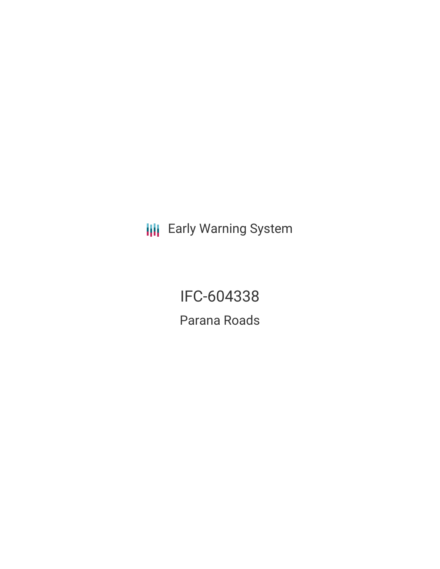**III** Early Warning System

IFC-604338 Parana Roads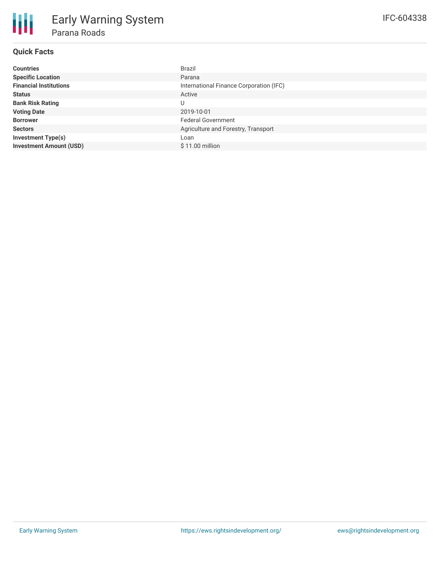| <b>Countries</b>               | <b>Brazil</b>                           |
|--------------------------------|-----------------------------------------|
| <b>Specific Location</b>       | Parana                                  |
| <b>Financial Institutions</b>  | International Finance Corporation (IFC) |
| <b>Status</b>                  | Active                                  |
| <b>Bank Risk Rating</b>        | U                                       |
| <b>Voting Date</b>             | 2019-10-01                              |
| <b>Borrower</b>                | <b>Federal Government</b>               |
| <b>Sectors</b>                 | Agriculture and Forestry, Transport     |
| <b>Investment Type(s)</b>      | Loan                                    |
| <b>Investment Amount (USD)</b> | $$11.00$ million                        |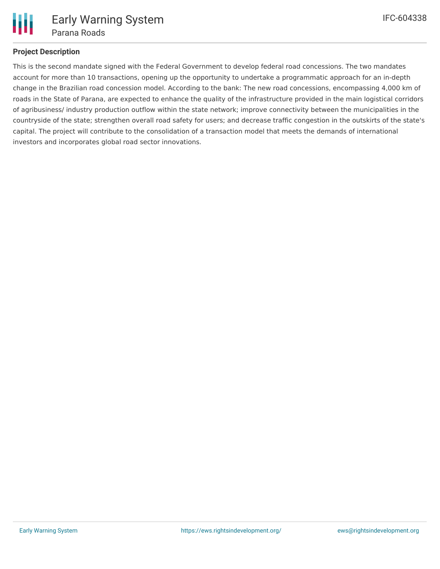

## **Project Description**

This is the second mandate signed with the Federal Government to develop federal road concessions. The two mandates account for more than 10 transactions, opening up the opportunity to undertake a programmatic approach for an in-depth change in the Brazilian road concession model. According to the bank: The new road concessions, encompassing 4,000 km of roads in the State of Parana, are expected to enhance the quality of the infrastructure provided in the main logistical corridors of agribusiness/ industry production outflow within the state network; improve connectivity between the municipalities in the countryside of the state; strengthen overall road safety for users; and decrease traffic congestion in the outskirts of the state's capital. The project will contribute to the consolidation of a transaction model that meets the demands of international investors and incorporates global road sector innovations.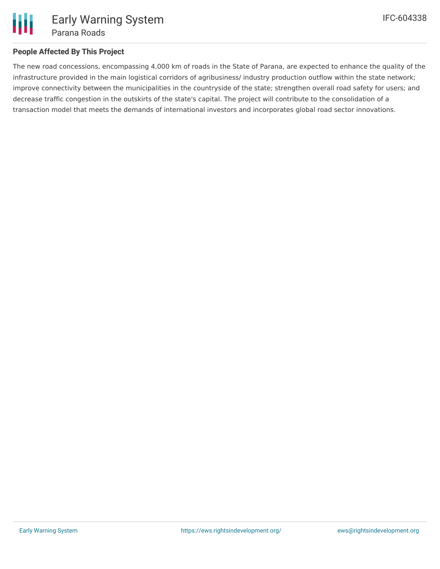

## **People Affected By This Project**

The new road concessions, encompassing 4,000 km of roads in the State of Parana, are expected to enhance the quality of the infrastructure provided in the main logistical corridors of agribusiness/ industry production outflow within the state network; improve connectivity between the municipalities in the countryside of the state; strengthen overall road safety for users; and decrease traffic congestion in the outskirts of the state's capital. The project will contribute to the consolidation of a transaction model that meets the demands of international investors and incorporates global road sector innovations.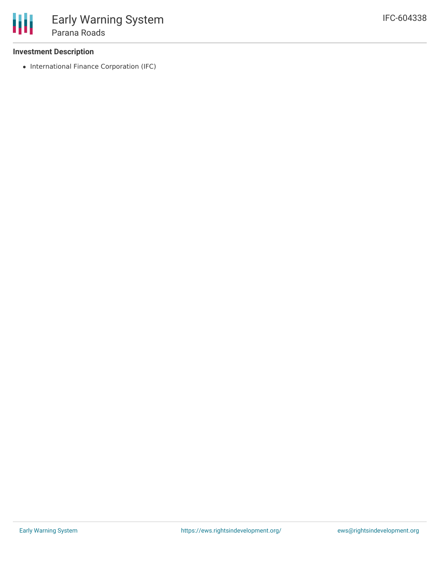## **Investment Description**

• International Finance Corporation (IFC)